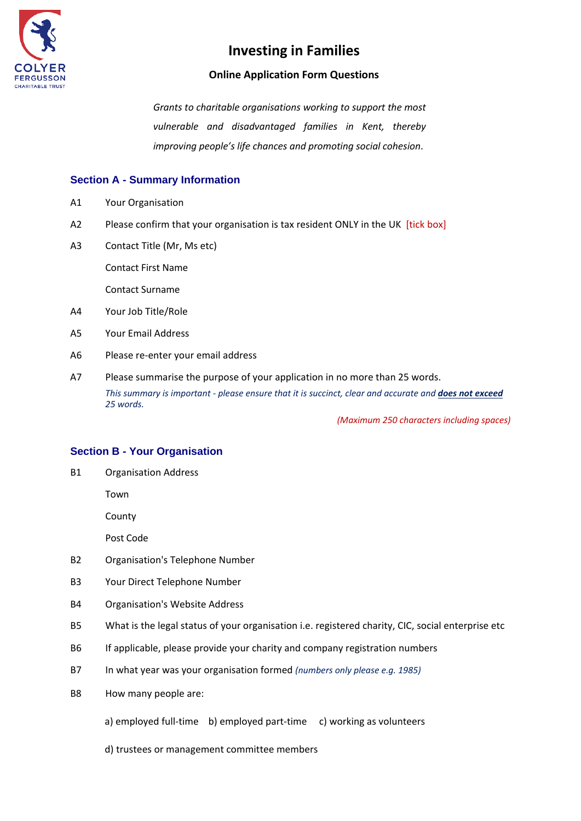

## **Online Application Form Questions**

*Grants to charitable organisations working to support the most vulnerable and disadvantaged families in Kent, thereby improving people's life chances and promoting social cohesion*.

## **Section A - Summary Information**

- A1 Your Organisation
- A2 Please confirm that your organisation is tax resident ONLY in the UK [tick box]
- A3 Contact Title (Mr, Ms etc)

Contact First Name

Contact Surname

- A4 Your Job Title/Role
- A5 Your Email Address
- A6 Please re-enter your email address
- A7 Please summarise the purpose of your application in no more than 25 words. *This summary is important - please ensure that it is succinct, clear and accurate and does not exceed 25 words.*

*(Maximum 250 characters including spaces)*

### **Section B - Your Organisation**

B1 Organisation Address

Town

County

Post Code

- B2 Organisation's Telephone Number
- B3 Your Direct Telephone Number
- B4 Organisation's Website Address
- B5 What is the legal status of your organisation i.e. registered charity, CIC, social enterprise etc
- B6 If applicable, please provide your charity and company registration numbers
- B7 In what year was your organisation formed *(numbers only please e.g. 1985)*
- B8 How many people are:
	- a) employed full-time b) employed part-time c) working as volunteers
	- d) trustees or management committee members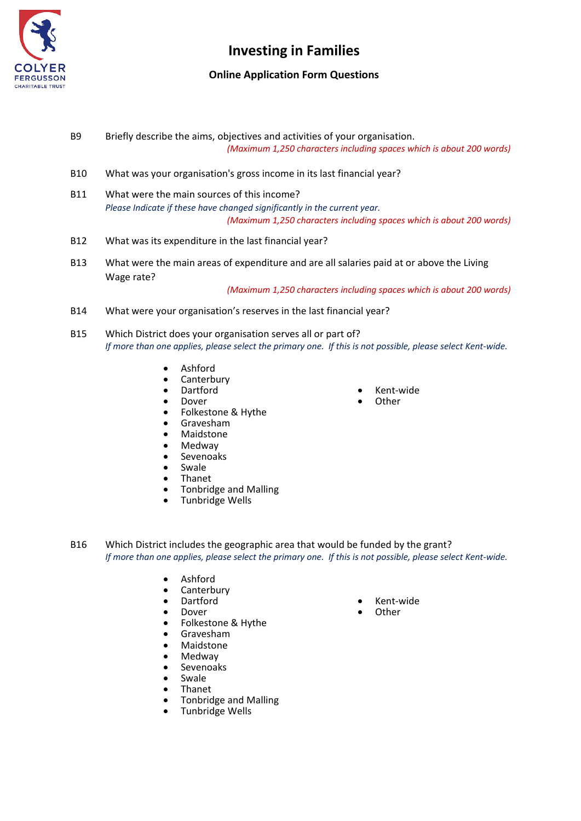

## **Online Application Form Questions**

- B9 Briefly describe the aims, objectives and activities of your organisation. *(Maximum 1,250 characters including spaces which is about 200 words)*
- B10 What was your organisation's gross income in its last financial year?
- B11 What were the main sources of this income? *Please Indicate if these have changed significantly in the current year. (Maximum 1,250 characters including spaces which is about 200 words)*
- B12 What was its expenditure in the last financial year?
- B13 What were the main areas of expenditure and are all salaries paid at or above the Living Wage rate?

*(Maximum 1,250 characters including spaces which is about 200 words)*

- B14 What were your organisation's reserves in the last financial year?
- B15 Which District does your organisation serves all or part of? *If more than one applies, please select the primary one. If this is not possible, please select Kent-wide.*
	- Ashford
	- Canterbury
	- Dartford
	- Dover
	- Folkestone & Hythe
	- Gravesham
	- Maidstone
	- Medway
	- Sevenoaks
	- **Swale**
	- Thanet
	- Tonbridge and Malling
	- Tunbridge Wells
- Kent-wide
- **Other**

- B16 Which District includes the geographic area that would be funded by the grant? *If more than one applies, please select the primary one. If this is not possible, please select Kent-wide.*
	- Ashford
	- Canterbury
	- Dartford
	- Dover
	- Folkestone & Hythe
	- Gravesham<br>• Maidstone
	-
	- Maidstone<br>• Medway • Medway
	- Sevenoaks
	- Swale
	- Thanet
	- Tonbridge and Malling
	- Tunbridge Wells
- Kent-wide
- **Other**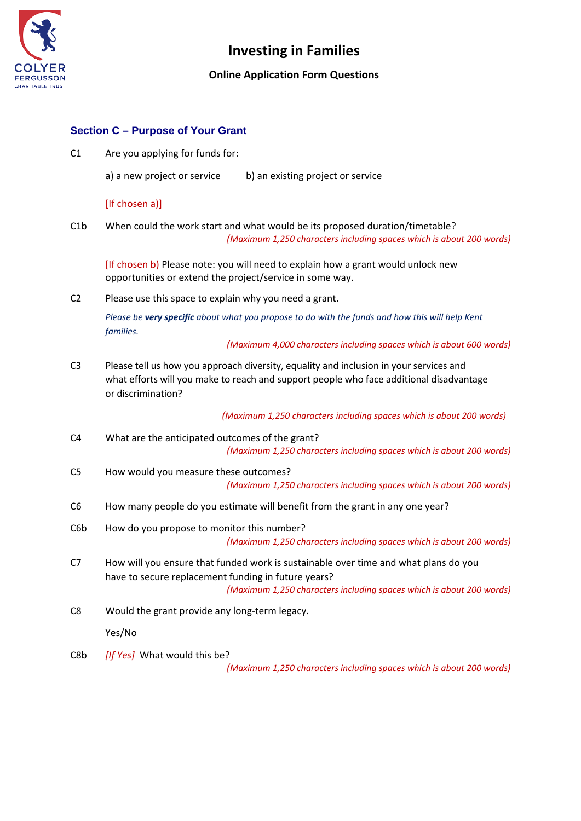

## **Online Application Form Questions**

## **Section C – Purpose of Your Grant**

C1 Are you applying for funds for:

a) a new project or service b) an existing project or service

#### [If chosen a)]

C1b When could the work start and what would be its proposed duration/timetable? *(Maximum 1,250 characters including spaces which is about 200 words)*

[If chosen b) Please note: you will need to explain how a grant would unlock new opportunities or extend the project/service in some way.

C2 Please use this space to explain why you need a grant.

*Please be very specific about what you propose to do with the funds and how this will help Kent families.*

*(Maximum 4,000 characters including spaces which is about 600 words)*

C3 Please tell us how you approach diversity, equality and inclusion in your services and what efforts will you make to reach and support people who face additional disadvantage or discrimination?

 *(Maximum 1,250 characters including spaces which is about 200 words)*

- C4 What are the anticipated outcomes of the grant? *(Maximum 1,250 characters including spaces which is about 200 words)*
- C5 How would you measure these outcomes? *(Maximum 1,250 characters including spaces which is about 200 words)*
- C6 How many people do you estimate will benefit from the grant in any one year?
- C6b How do you propose to monitor this number? *(Maximum 1,250 characters including spaces which is about 200 words)*
- C7 How will you ensure that funded work is sustainable over time and what plans do you have to secure replacement funding in future years? *(Maximum 1,250 characters including spaces which is about 200 words)*
- C8 Would the grant provide any long-term legacy.

Yes/No

C8b *[If Yes]* What would this be?

*(Maximum 1,250 characters including spaces which is about 200 words)*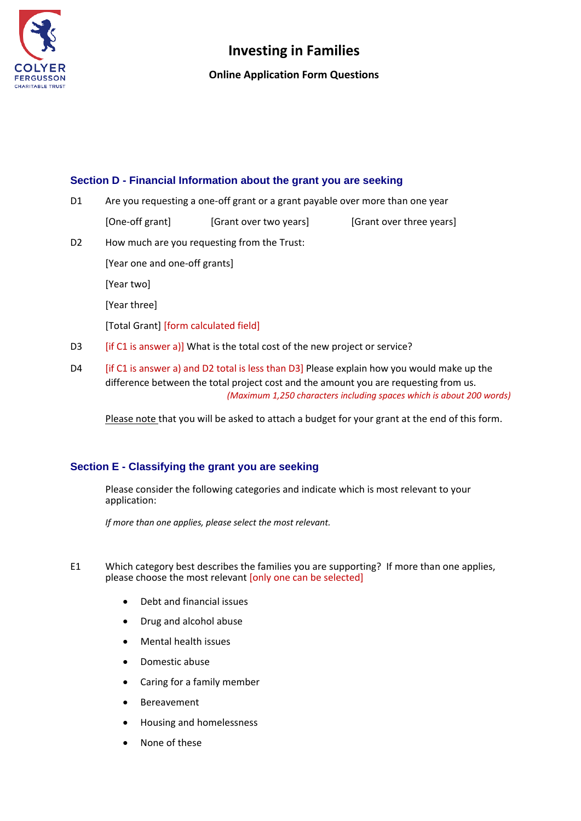

### **Online Application Form Questions**

## **Section D - Financial Information about the grant you are seeking**

| D1             | Are you requesting a one-off grant or a grant payable over more than one year                                                                                                     |                        |                          |  |
|----------------|-----------------------------------------------------------------------------------------------------------------------------------------------------------------------------------|------------------------|--------------------------|--|
|                | [One-off grant]                                                                                                                                                                   | [Grant over two years] | [Grant over three years] |  |
| D <sub>2</sub> | How much are you requesting from the Trust:                                                                                                                                       |                        |                          |  |
|                | [Year one and one-off grants]                                                                                                                                                     |                        |                          |  |
|                | [Year two]                                                                                                                                                                        |                        |                          |  |
|                | [Year three]                                                                                                                                                                      |                        |                          |  |
|                | [Total Grant] [form calculated field]                                                                                                                                             |                        |                          |  |
| D <sub>3</sub> | [if C1 is answer a]] What is the total cost of the new project or service?                                                                                                        |                        |                          |  |
| D <sub>4</sub> | [if C1 is answer a) and D2 total is less than D3] Please explain how you would make up the<br>difference between the total project cost and the amount you are requesting from us |                        |                          |  |

difference between the total project cost and the amount you are requesting from us. *(Maximum 1,250 characters including spaces which is about 200 words)*

Please note that you will be asked to attach a budget for your grant at the end of this form.

## **Section E - Classifying the grant you are seeking**

Please consider the following categories and indicate which is most relevant to your application:

*If more than one applies, please select the most relevant.*

- E1 Which category best describes the families you are supporting? If more than one applies, please choose the most relevant [only one can be selected]
	- Debt and financial issues
	- Drug and alcohol abuse
	- Mental health issues
	- Domestic abuse
	- Caring for a family member
	- **Bereavement**
	- Housing and homelessness
	- None of these